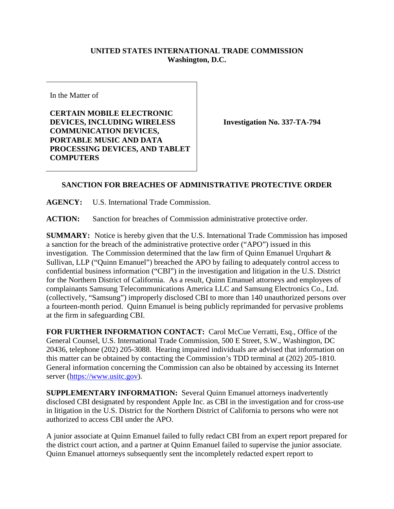## **UNITED STATES INTERNATIONAL TRADE COMMISSION Washington, D.C.**

In the Matter of

**CERTAIN MOBILE ELECTRONIC DEVICES, INCLUDING WIRELESS COMMUNICATION DEVICES, PORTABLE MUSIC AND DATA PROCESSING DEVICES, AND TABLET COMPUTERS**

**Investigation No. 337-TA-794**

## **SANCTION FOR BREACHES OF ADMINISTRATIVE PROTECTIVE ORDER**

**AGENCY:** U.S. International Trade Commission.

**ACTION:** Sanction for breaches of Commission administrative protective order.

**SUMMARY:** Notice is hereby given that the U.S. International Trade Commission has imposed a sanction for the breach of the administrative protective order ("APO") issued in this investigation. The Commission determined that the law firm of Quinn Emanuel Urquhart & Sullivan, LLP ("Quinn Emanuel") breached the APO by failing to adequately control access to confidential business information ("CBI") in the investigation and litigation in the U.S. District for the Northern District of California. As a result, Quinn Emanuel attorneys and employees of complainants Samsung Telecommunications America LLC and Samsung Electronics Co., Ltd. (collectively, "Samsung") improperly disclosed CBI to more than 140 unauthorized persons over a fourteen-month period. Quinn Emanuel is being publicly reprimanded for pervasive problems at the firm in safeguarding CBI.

**FOR FURTHER INFORMATION CONTACT:** Carol McCue Verratti, Esq., Office of the General Counsel, U.S. International Trade Commission, 500 E Street, S.W., Washington, DC 20436, telephone (202) 205-3088. Hearing impaired individuals are advised that information on this matter can be obtained by contacting the Commission's TDD terminal at (202) 205-1810. General information concerning the Commission can also be obtained by accessing its Internet server [\(https://www.usitc.gov\)](https://www.usitc.gov/).

**SUPPLEMENTARY INFORMATION:** Several Quinn Emanuel attorneys inadvertently disclosed CBI designated by respondent Apple Inc. as CBI in the investigation and for cross-use in litigation in the U.S. District for the Northern District of California to persons who were not authorized to access CBI under the APO.

A junior associate at Quinn Emanuel failed to fully redact CBI from an expert report prepared for the district court action, and a partner at Quinn Emanuel failed to supervise the junior associate. Quinn Emanuel attorneys subsequently sent the incompletely redacted expert report to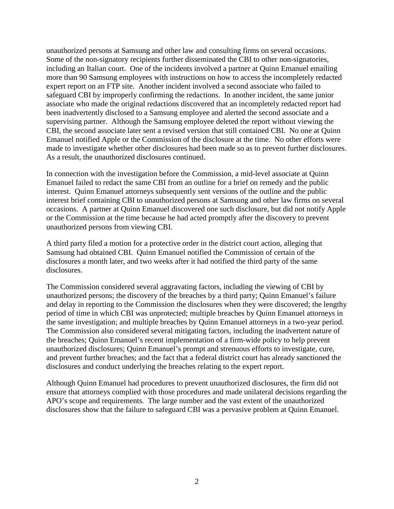unauthorized persons at Samsung and other law and consulting firms on several occasions. Some of the non-signatory recipients further disseminated the CBI to other non-signatories, including an Italian court. One of the incidents involved a partner at Quinn Emanuel emailing more than 90 Samsung employees with instructions on how to access the incompletely redacted expert report on an FTP site. Another incident involved a second associate who failed to safeguard CBI by improperly confirming the redactions. In another incident, the same junior associate who made the original redactions discovered that an incompletely redacted report had been inadvertently disclosed to a Samsung employee and alerted the second associate and a supervising partner. Although the Samsung employee deleted the report without viewing the CBI, the second associate later sent a revised version that still contained CBI. No one at Quinn Emanuel notified Apple or the Commission of the disclosure at the time. No other efforts were made to investigate whether other disclosures had been made so as to prevent further disclosures. As a result, the unauthorized disclosures continued.

In connection with the investigation before the Commission, a mid-level associate at Quinn Emanuel failed to redact the same CBI from an outline for a brief on remedy and the public interest. Quinn Emanuel attorneys subsequently sent versions of the outline and the public interest brief containing CBI to unauthorized persons at Samsung and other law firms on several occasions. A partner at Quinn Emanuel discovered one such disclosure, but did not notify Apple or the Commission at the time because he had acted promptly after the discovery to prevent unauthorized persons from viewing CBI.

A third party filed a motion for a protective order in the district court action, alleging that Samsung had obtained CBI. Quinn Emanuel notified the Commission of certain of the disclosures a month later, and two weeks after it had notified the third party of the same disclosures.

The Commission considered several aggravating factors, including the viewing of CBI by unauthorized persons; the discovery of the breaches by a third party; Quinn Emanuel's failure and delay in reporting to the Commission the disclosures when they were discovered; the lengthy period of time in which CBI was unprotected; multiple breaches by Quinn Emanuel attorneys in the same investigation; and multiple breaches by Quinn Emanuel attorneys in a two-year period. The Commission also considered several mitigating factors, including the inadvertent nature of the breaches; Quinn Emanuel's recent implementation of a firm-wide policy to help prevent unauthorized disclosures; Quinn Emanuel's prompt and strenuous efforts to investigate, cure, and prevent further breaches; and the fact that a federal district court has already sanctioned the disclosures and conduct underlying the breaches relating to the expert report.

Although Quinn Emanuel had procedures to prevent unauthorized disclosures, the firm did not ensure that attorneys complied with those procedures and made unilateral decisions regarding the APO's scope and requirements. The large number and the vast extent of the unauthorized disclosures show that the failure to safeguard CBI was a pervasive problem at Quinn Emanuel.